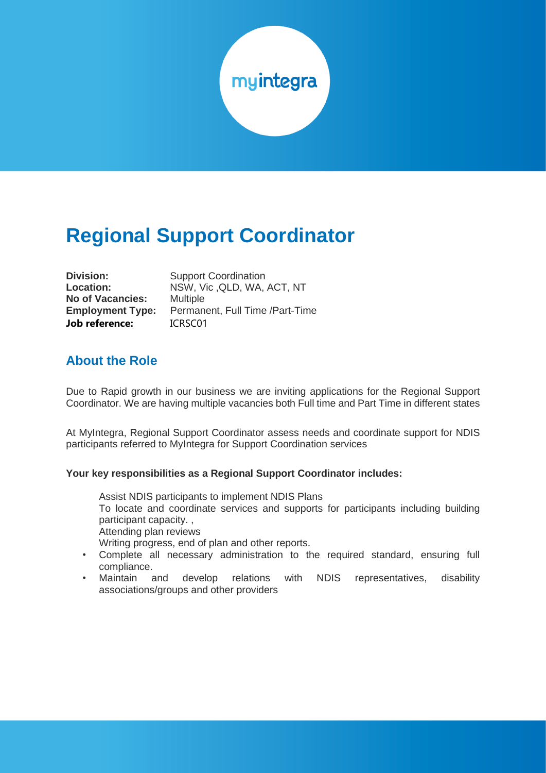

# **Regional Support Coordinator**

| <b>Division:</b>        |
|-------------------------|
| <b>Location:</b>        |
| <b>No of Vacancies:</b> |
| <b>Employment Type:</b> |
| <b>Job reference:</b>   |

**Support Coordination Location:** NSW, Vic ,QLD, WA, ACT, NT **No of Vacancies:** Multiple Permanent. Full Time /Part-Time **Job reference:** ICRSC01

#### **About the Role**

Due to Rapid growth in our business we are inviting applications for the Regional Support Coordinator. We are having multiple vacancies both Full time and Part Time in different states

At MyIntegra, Regional Support Coordinator assess needs and coordinate support for NDIS participants referred to MyIntegra for Support Coordination services

#### **Your key responsibilities as a Regional Support Coordinator includes:**

Assist NDIS participants to implement NDIS Plans To locate and coordinate services and supports for participants including building participant capacity. , Attending plan reviews Writing progress, end of plan and other reports.

- Complete all necessary administration to the required standard, ensuring full compliance.
- Maintain and develop relations with NDIS representatives, disability associations/groups and other providers